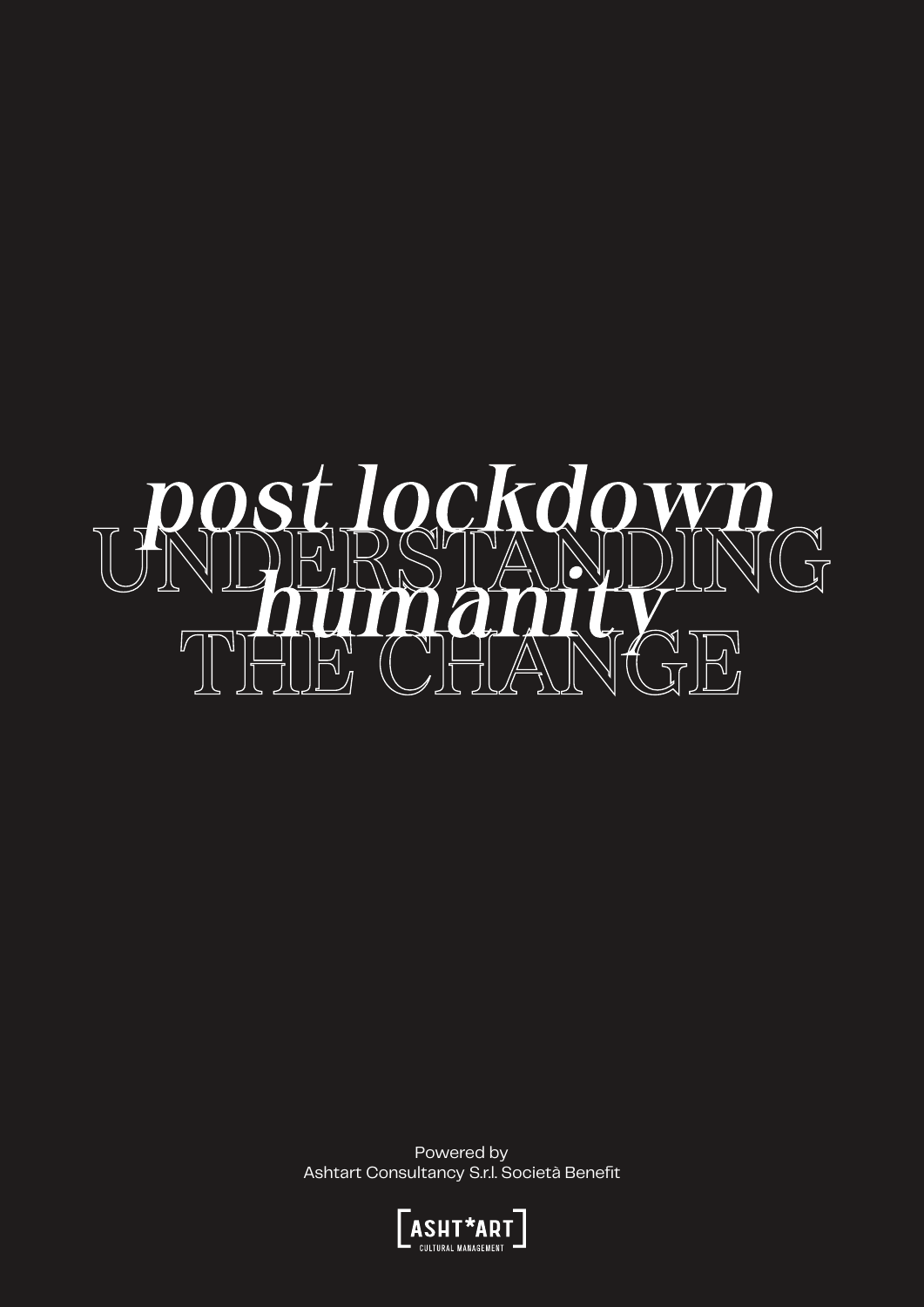

Powered by Ashtart Consultancy S.r.l. Società Benefit

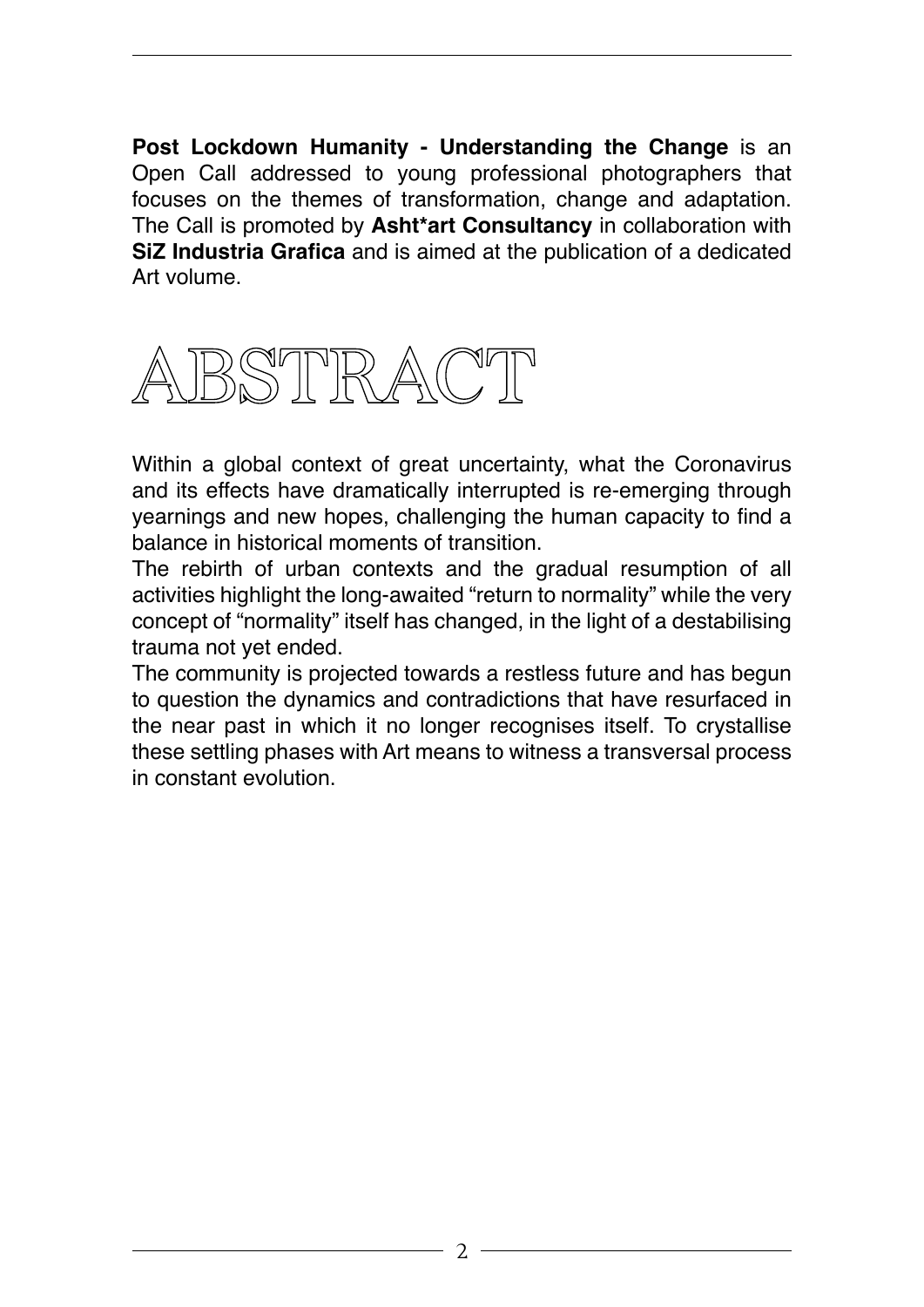**Post Lockdown Humanity - Understanding the Change** is an Open Call addressed to young professional photographers that focuses on the themes of transformation, change and adaptation. The Call is promoted by **Asht\*art Consultancy** in collaboration with **SiZ Industria Grafica** and is aimed at the publication of a dedicated Art volume.



Within a global context of great uncertainty, what the Coronavirus and its effects have dramatically interrupted is re-emerging through yearnings and new hopes, challenging the human capacity to find a balance in historical moments of transition.

The rebirth of urban contexts and the gradual resumption of all activities highlight the long-awaited "return to normality" while the very concept of "normality" itself has changed, in the light of a destabilising trauma not yet ended.

The community is projected towards a restless future and has begun to question the dynamics and contradictions that have resurfaced in the near past in which it no longer recognises itself. To crystallise these settling phases with Art means to witness a transversal process in constant evolution.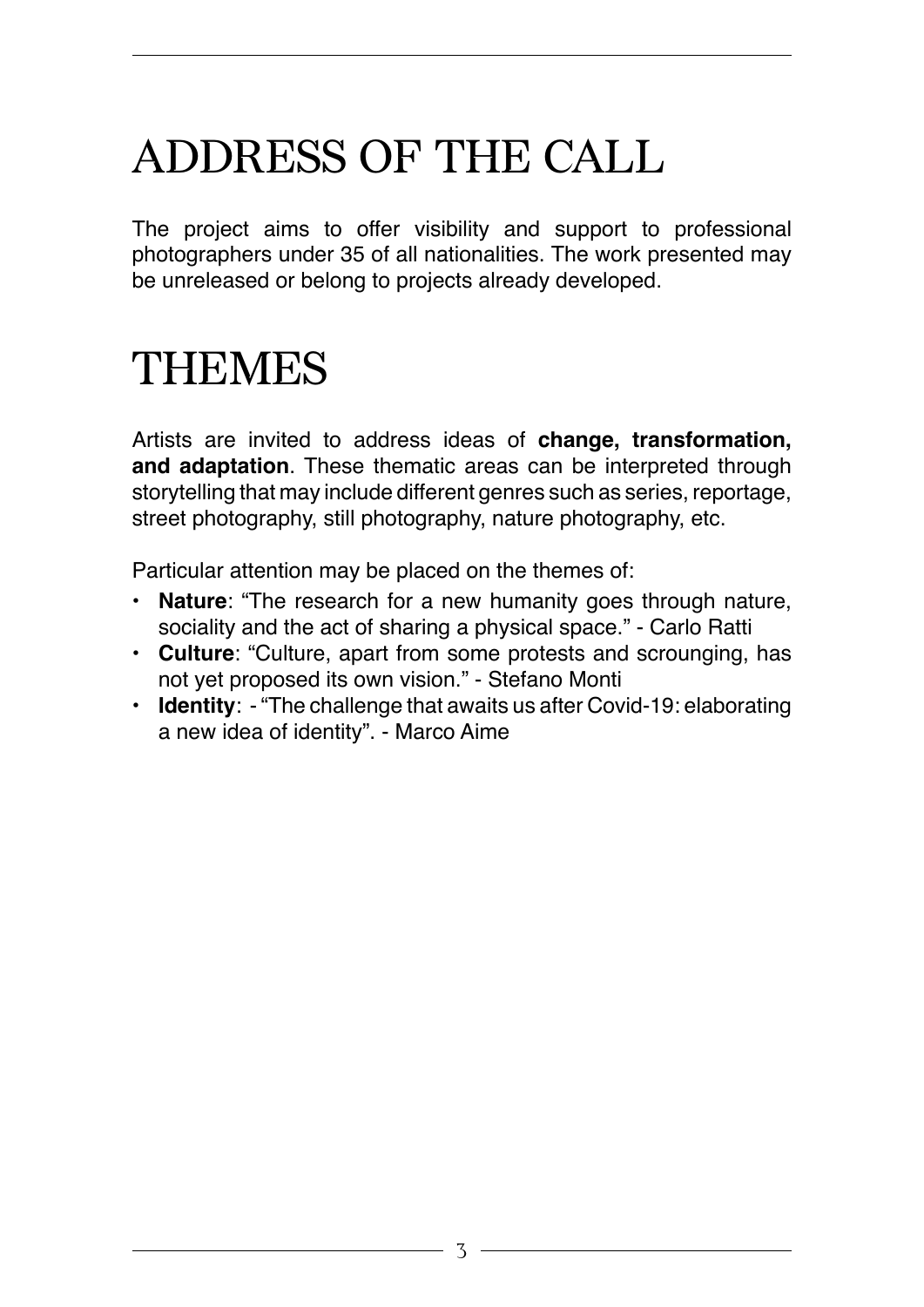## ADDRESS OF THE CALL

The project aims to offer visibility and support to professional photographers under 35 of all nationalities. The work presented may be unreleased or belong to projects already developed.

### THEMES

Artists are invited to address ideas of **change, transformation, and adaptation**. These thematic areas can be interpreted through storytelling that may include different genres such as series, reportage, street photography, still photography, nature photography, etc.

Particular attention may be placed on the themes of:

- **• Nature**: "The research for a new humanity goes through nature, sociality and the act of sharing a physical space." - Carlo Ratti
- **• Culture**: "Culture, apart from some protests and scrounging, has not yet proposed its own vision." - Stefano Monti
- **• Identity**: "The challenge that awaits us after Covid-19: elaborating a new idea of identity". - Marco Aime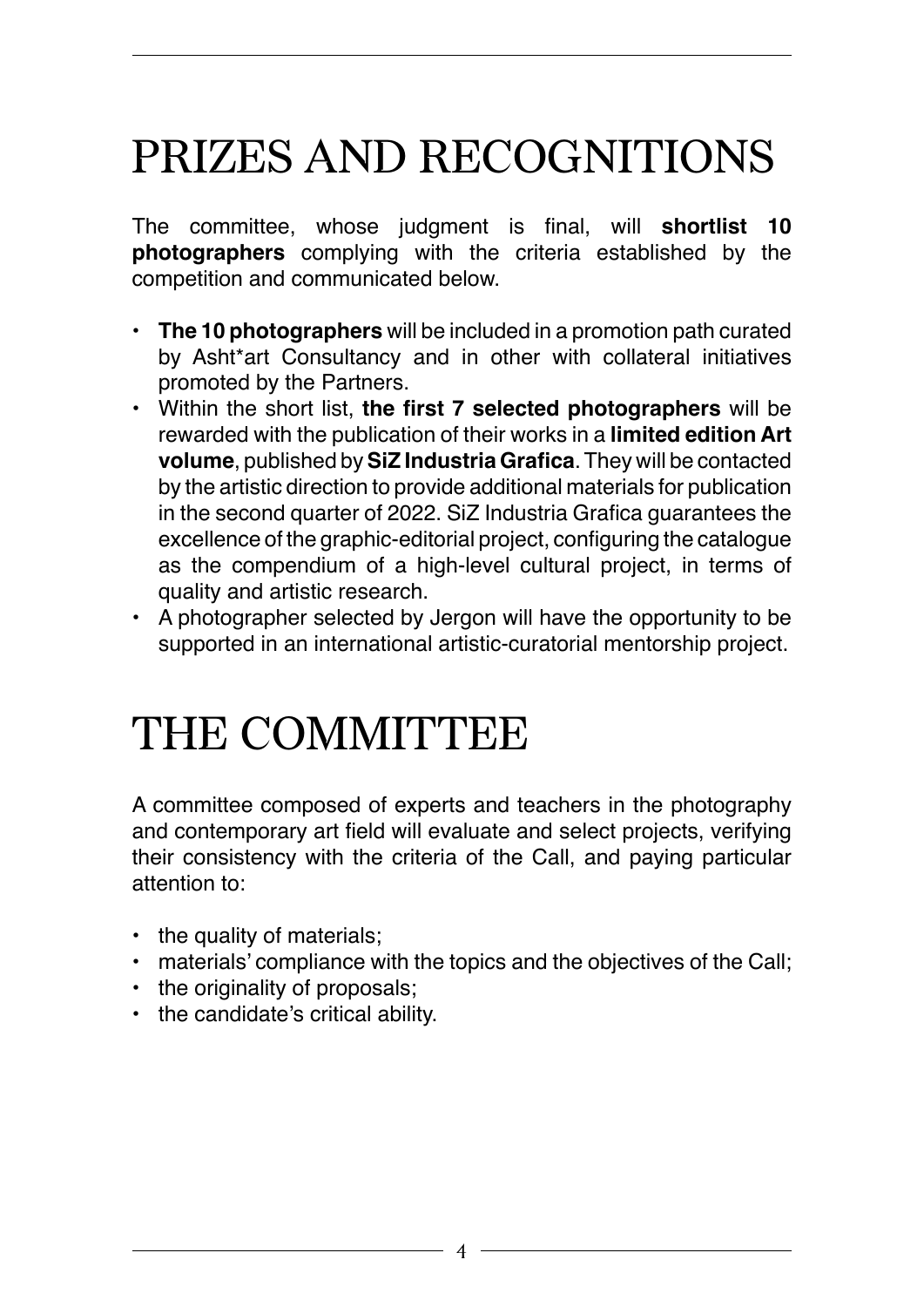## PRIZES AND RECOGNITIONS

The committee, whose judgment is final, will **shortlist 10 photographers** complying with the criteria established by the competition and communicated below.

- **• The 10 photographers** will be included in a promotion path curated by Asht\*art Consultancy and in other with collateral initiatives promoted by the Partners.
- Within the short list, **the first 7 selected photographers** will be rewarded with the publication of their works in a **limited edition Art volume**, published by **SiZ Industria Grafica**. They will be contacted by the artistic direction to provide additional materials for publication in the second quarter of 2022. SiZ Industria Grafica guarantees the excellence of the graphic-editorial project, configuring the catalogue as the compendium of a high-level cultural project, in terms of quality and artistic research.
- A photographer selected by Jergon will have the opportunity to be supported in an international artistic-curatorial mentorship project.

## THE COMMITTEE

A committee composed of experts and teachers in the photography and contemporary art field will evaluate and select projects, verifying their consistency with the criteria of the Call, and paying particular attention to:

- the quality of materials;
- materials' compliance with the topics and the objectives of the Call;
- the originality of proposals;
- the candidate's critical ability.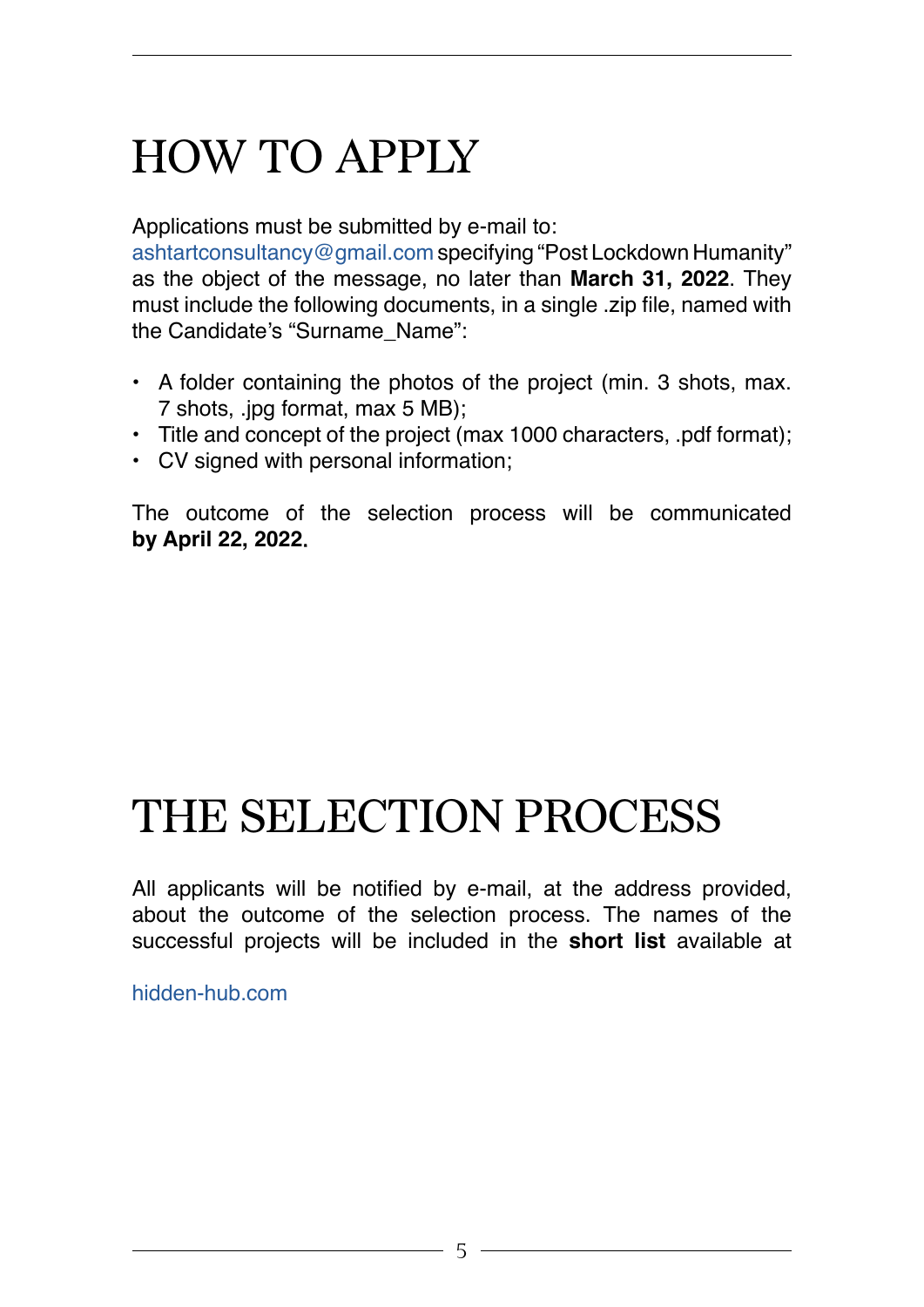## HOW TO APPLY

Applications must be submitted by e-mail to:

[ashtartconsultancy@gmail.com](http://ashtartconsultancy@gmail.com) specifying "Post Lockdown Humanity" as the object of the message, no later than **March 31, 2022**. They must include the following documents, in a single .zip file, named with the Candidate's "Surname\_Name":

- A folder containing the photos of the project (min. 3 shots, max. 7 shots, .jpg format, max 5 MB);
- Title and concept of the project (max 1000 characters, .pdf format);
- CV signed with personal information;

The outcome of the selection process will be communicated **by April 22, 2022**.

## THE SELECTION PROCESS

All applicants will be notified by e-mail, at the address provided, about the outcome of the selection process. The names of the successful projects will be included in the **short list** available at

[hidden-hub.com](https://hidden-hub.com)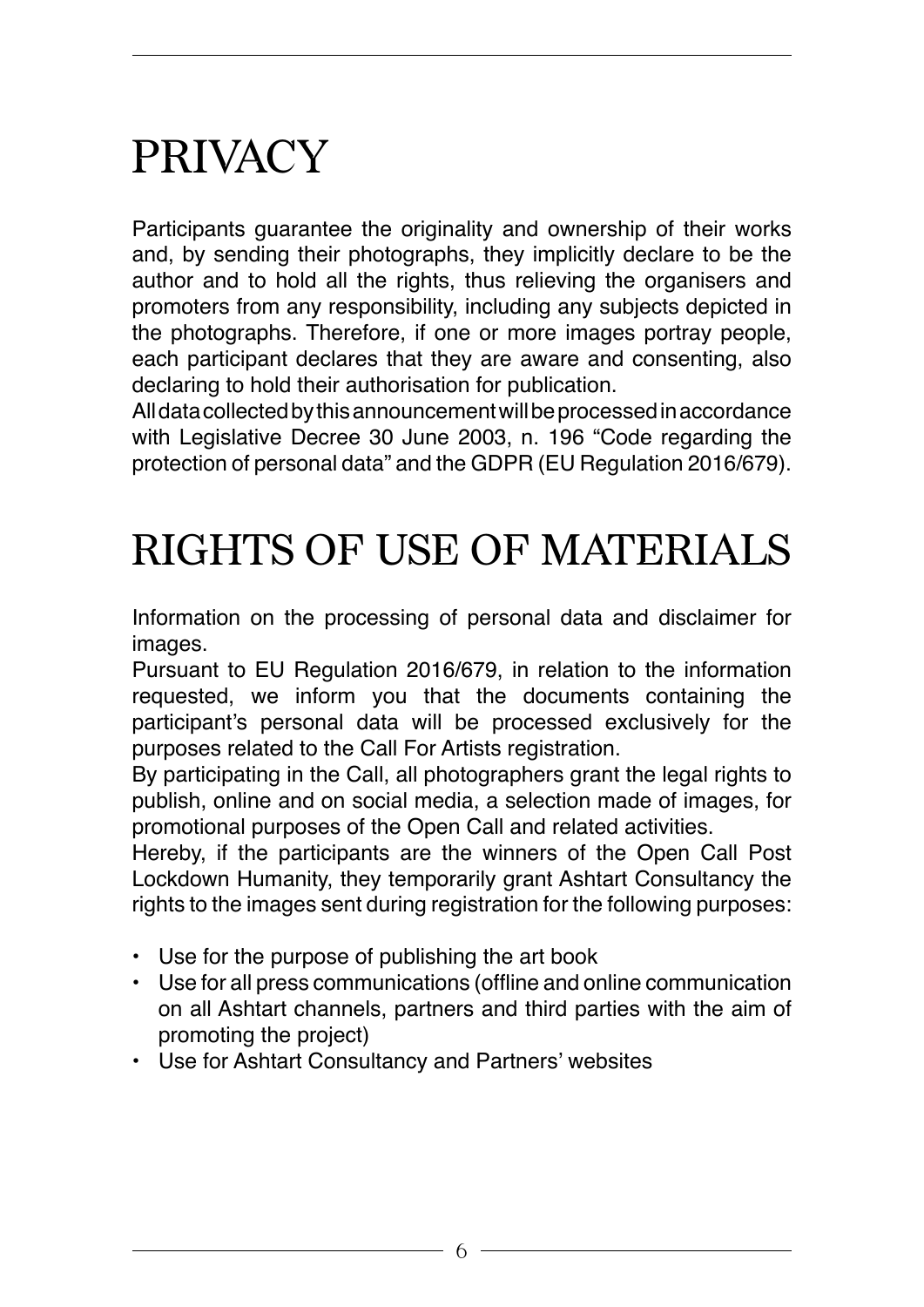## PRIVACY

Participants guarantee the originality and ownership of their works and, by sending their photographs, they implicitly declare to be the author and to hold all the rights, thus relieving the organisers and promoters from any responsibility, including any subjects depicted in the photographs. Therefore, if one or more images portray people, each participant declares that they are aware and consenting, also declaring to hold their authorisation for publication.

All data collected by this announcement will be processed in accordance with Legislative Decree 30 June 2003, n. 196 "Code regarding the protection of personal data" and the GDPR (EU Regulation 2016/679).

### RIGHTS OF USE OF MATERIALS

Information on the processing of personal data and disclaimer for images.

Pursuant to EU Regulation 2016/679, in relation to the information requested, we inform you that the documents containing the participant's personal data will be processed exclusively for the purposes related to the Call For Artists registration.

By participating in the Call, all photographers grant the legal rights to publish, online and on social media, a selection made of images, for promotional purposes of the Open Call and related activities.

Hereby, if the participants are the winners of the Open Call Post Lockdown Humanity, they temporarily grant Ashtart Consultancy the rights to the images sent during registration for the following purposes:

- Use for the purpose of publishing the art book
- Use for all press communications (offline and online communication on all Ashtart channels, partners and third parties with the aim of promoting the project)
- Use for Ashtart Consultancy and Partners' websites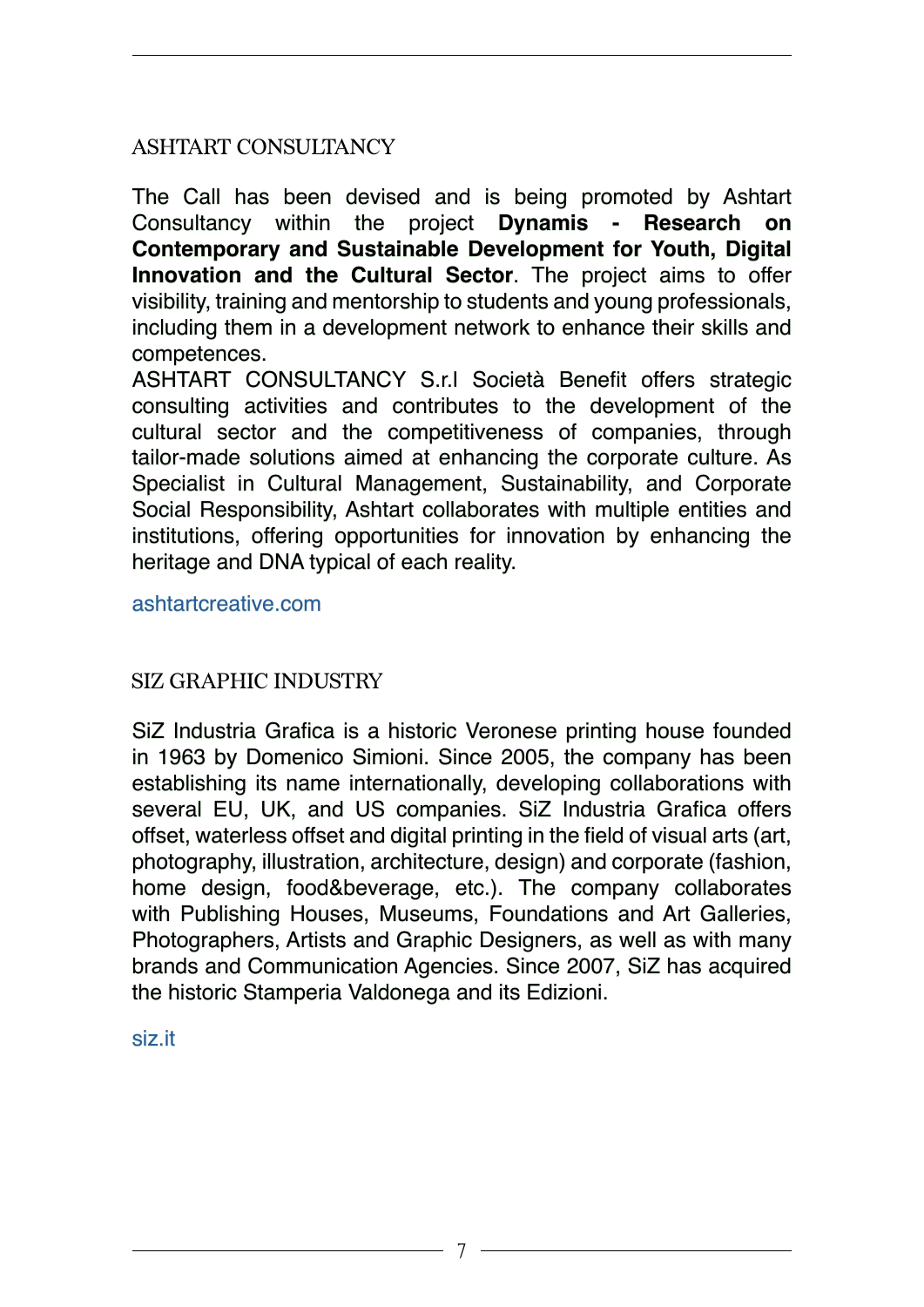#### ASHTART CONSULTANCY

The Call has been devised and is being promoted by Ashtart Consultancy within the project **Dynamis - Research on Contemporary and Sustainable Development for Youth, Digital Innovation and the Cultural Sector**. The project aims to offer visibility, training and mentorship to students and young professionals, including them in a development network to enhance their skills and competences.

ASHTART CONSULTANCY S.r.l Società Benefit offers strategic consulting activities and contributes to the development of the cultural sector and the competitiveness of companies, through tailor-made solutions aimed at enhancing the corporate culture. As Specialist in Cultural Management, Sustainability, and Corporate Social Responsibility, Ashtart collaborates with multiple entities and institutions, offering opportunities for innovation by enhancing the heritage and DNA typical of each reality.

[ashtartcreative.com](https://ashtartcreative.com/)

#### SIZ GRAPHIC INDUSTRY

SiZ Industria Grafica is a historic Veronese printing house founded in 1963 by Domenico Simioni. Since 2005, the company has been establishing its name internationally, developing collaborations with several EU, UK, and US companies. SiZ Industria Grafica offers offset, waterless offset and digital printing in the field of visual arts (art, photography, illustration, architecture, design) and corporate (fashion, home design, food&beverage, etc.). The company collaborates with Publishing Houses, Museums, Foundations and Art Galleries, Photographers, Artists and Graphic Designers, as well as with many brands and Communication Agencies. Since 2007, SiZ has acquired the historic Stamperia Valdonega and its Edizioni.

[siz.it](https://siz.it/)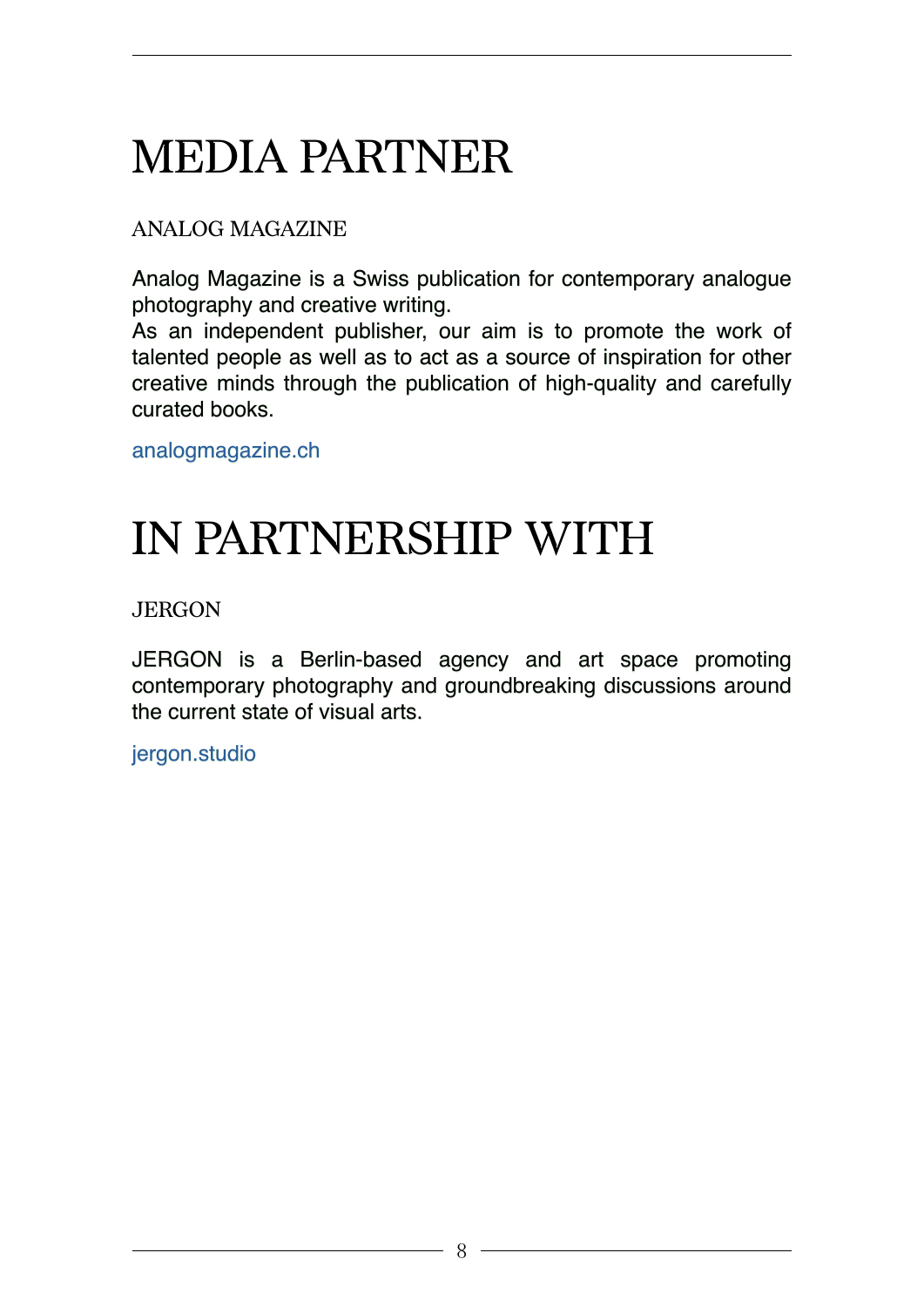# MEDIA PARTNER

#### ANALOG MAGAZINE

Analog Magazine is a Swiss publication for contemporary analogue photography and creative writing.

As an independent publisher, our aim is to promote the work of talented people as well as to act as a source of inspiration for other creative minds through the publication of high-quality and carefully curated books.

[analogmagazine.ch](https://www.analogmagazine.ch/)

## IN PARTNERSHIP WITH

JERGON

JERGON is a Berlin-based agency and art space promoting contemporary photography and groundbreaking discussions around the current state of visual arts.

[jergon.studio](https://www.jergon.studio/)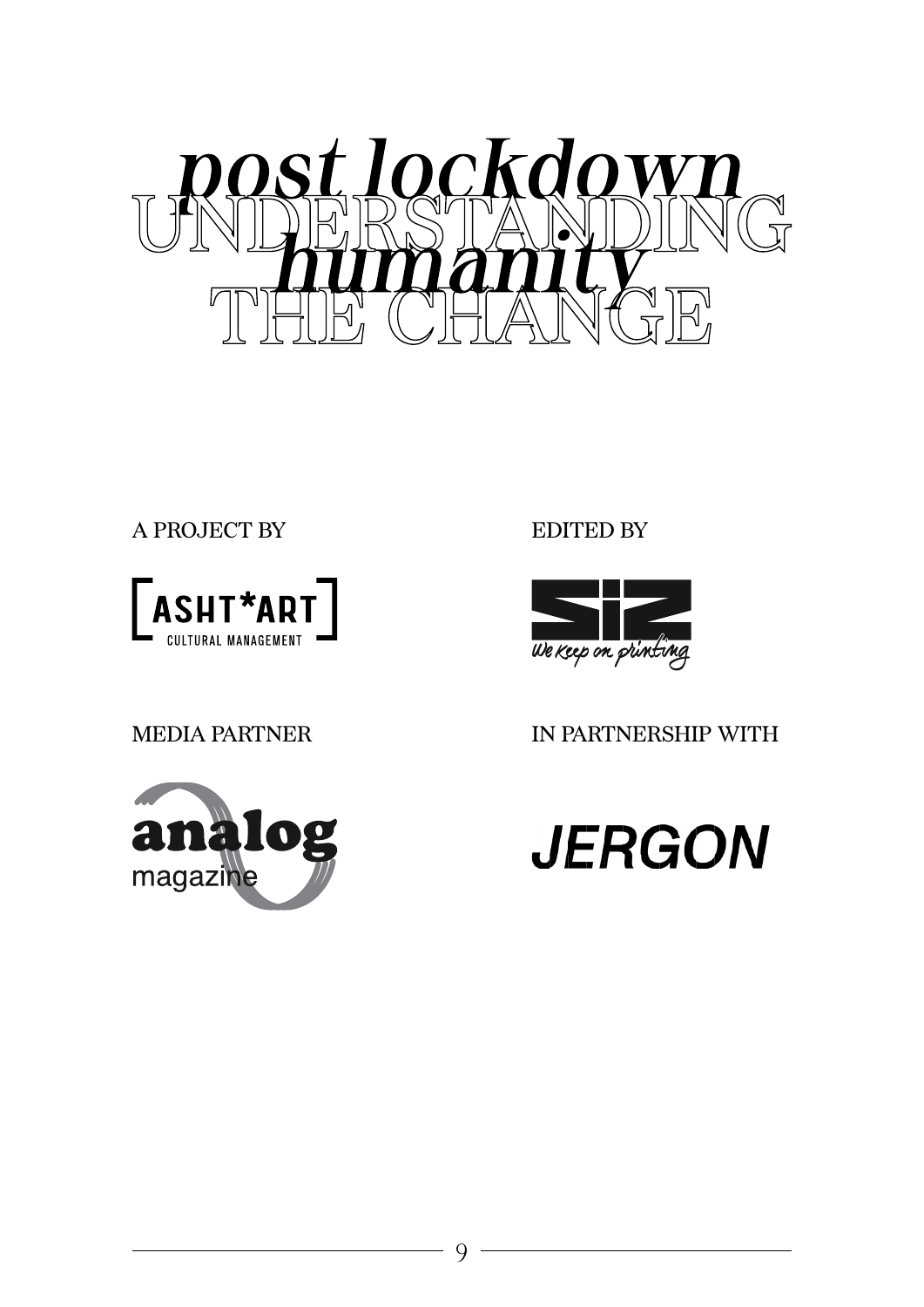

A PROJECT BY



MEDIA PARTNER



EDITED BY



IN PARTNERSHIP WITH